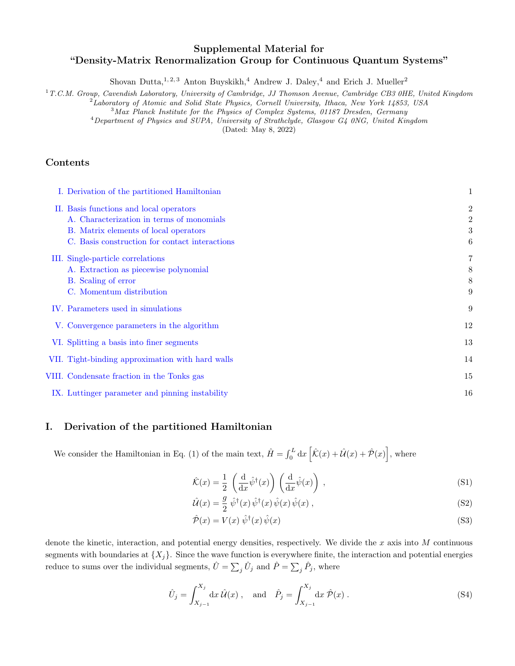# Supplemental Material for "Density-Matrix Renormalization Group for Continuous Quantum Systems"

Shovan Dutta,  $1, 2, 3$  Anton Buyskikh,  $4$  Andrew J. Daley,  $4$  and Erich J. Mueller<sup>2</sup>

<sup>1</sup>T.C.M. Group, Cavendish Laboratory, University of Cambridge, JJ Thomson Avenue, Cambridge CB3 0HE, United Kingdom

 ${}^{2}$ Laboratory of Atomic and Solid State Physics, Cornell University, Ithaca, New York 14853, USA

<sup>3</sup>Max Planck Institute for the Physics of Complex Systems, 01187 Dresden, Germany

<sup>4</sup>Department of Physics and SUPA, University of Strathclyde, Glasgow G4 0NG, United Kingdom

(Dated: May 8, 2022)

## Contents

| I. Derivation of the partitioned Hamiltonian     | 1              |
|--------------------------------------------------|----------------|
| II. Basis functions and local operators          | $\overline{2}$ |
| A. Characterization in terms of monomials        | $\overline{2}$ |
| B. Matrix elements of local operators            | 3              |
| C. Basis construction for contact interactions   | 6              |
| III. Single-particle correlations                | 7              |
| A. Extraction as piecewise polynomial            | 8              |
| B. Scaling of error                              | 8              |
| C. Momentum distribution                         | 9              |
| IV. Parameters used in simulations               | 9              |
| V. Convergence parameters in the algorithm       | 12             |
| VI. Splitting a basis into finer segments        | 13             |
| VII. Tight-binding approximation with hard walls | 14             |
| VIII. Condensate fraction in the Tonks gas       | 15             |
| IX. Luttinger parameter and pinning instability  | 16             |

## <span id="page-0-0"></span>I. Derivation of the partitioned Hamiltonian

We consider the Hamiltonian in Eq. (1) of the main text,  $\hat{H} = \int_0^L dx \left[ \hat{\mathcal{K}}(x) + \hat{\mathcal{U}}(x) + \hat{\mathcal{P}}(x) \right]$ , where

<span id="page-0-3"></span><span id="page-0-1"></span>
$$
\hat{\mathcal{K}}(x) = \frac{1}{2} \left( \frac{\mathrm{d}}{\mathrm{d}x} \hat{\psi}^{\dagger}(x) \right) \left( \frac{\mathrm{d}}{\mathrm{d}x} \hat{\psi}(x) \right) , \tag{S1}
$$

$$
\hat{\mathcal{U}}(x) = \frac{g}{2} \hat{\psi}^{\dagger}(x) \hat{\psi}^{\dagger}(x) \hat{\psi}(x) \hat{\psi}(x) , \qquad (S2)
$$

<span id="page-0-2"></span>
$$
\hat{\mathcal{P}}(x) = V(x)\,\hat{\psi}^{\dagger}(x)\,\hat{\psi}(x) \tag{S3}
$$

denote the kinetic, interaction, and potential energy densities, respectively. We divide the  $x$  axis into  $M$  continuous segments with boundaries at  $\{X_i\}$ . Since the wave function is everywhere finite, the interaction and potential energies reduce to sums over the individual segments,  $\hat{U} = \sum_j \hat{U}_j$  and  $\hat{P} = \sum_j \hat{P}_j$ , where

$$
\hat{U}_j = \int_{X_{j-1}}^{X_j} dx \,\hat{\mathcal{U}}(x) \,, \text{ and } \hat{P}_j = \int_{X_{j-1}}^{X_j} dx \,\hat{\mathcal{P}}(x) \,.
$$
\n(S4)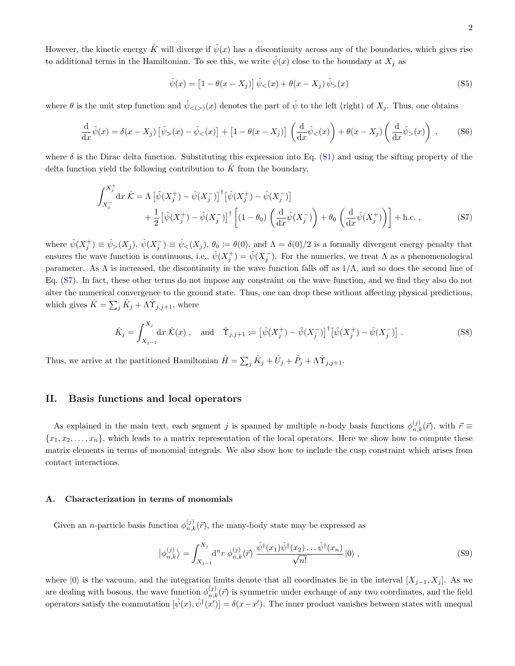However, the kinetic energy  $\hat{K}$  will diverge if  $\hat{\psi}(x)$  has a discontinuity across any of the boundaries, which gives rise to additional terms in the Hamiltonian. To see this, we write  $\hat{\psi}(x)$  close to the boundary at  $X_i$  as

<span id="page-1-2"></span>
$$
\hat{\psi}(x) = \left[1 - \theta(x - X_j)\right] \hat{\psi}_{<}(x) + \theta(x - X_j) \hat{\psi}_{>}(x) \tag{S5}
$$

where  $\theta$  is the unit step function and  $\hat{\psi}_{\leq (x)}(x)$  denotes the part of  $\hat{\psi}$  to the left (right) of  $X_j$ . Thus, one obtains

$$
\frac{\mathrm{d}}{\mathrm{d}x}\hat{\psi}(x) = \delta(x - X_j) \left[ \hat{\psi}_>(x) - \hat{\psi}_<(x) \right] + \left[ 1 - \theta(x - X_j) \right] \left( \frac{\mathrm{d}}{\mathrm{d}x}\hat{\psi}_<(x) \right) + \theta(x - X_j) \left( \frac{\mathrm{d}}{\mathrm{d}x}\hat{\psi}_>(x) \right) ,\tag{S6}
$$

where  $\delta$  is the Dirac delta function. Substituting this expression into Eq. [\(S1\)](#page-0-1) and using the sifting property of the delta function yield the following contribution to  $\hat{K}$  from the boundary,

$$
\int_{X_j^-}^{X_j^+} dx \hat{K} = \Lambda \left[ \hat{\psi}(X_j^+) - \hat{\psi}(X_j^-) \right]^\dagger \left[ \hat{\psi}(X_j^+) - \hat{\psi}(X_j^-) \right] \n+ \frac{1}{2} \left[ \hat{\psi}(X_j^+) - \hat{\psi}(X_j^-) \right]^\dagger \left[ (1 - \theta_0) \left( \frac{d}{dx} \hat{\psi}(X_j^-) \right) + \theta_0 \left( \frac{d}{dx} \hat{\psi}(X_j^+) \right) \right] + \text{h.c.} ,
$$
\n(S7)

where  $\hat{\psi}(X_j^+) \equiv \hat{\psi}_>(X_j)$ ,  $\hat{\psi}(X_j^-) \equiv \hat{\psi}_<(X_j)$ ,  $\theta_0 \coloneqq \theta(0)$ , and  $\Lambda = \delta(0)/2$  is a formally divergent energy penalty that ensures the wave function is continuous, i.e.,  $\hat{\psi}(X_j^+) = \hat{\psi}(X_j^-)$ . For the numerics, we treat  $\Lambda$  as a phenomenological parameter. As  $\Lambda$  is increased, the discontinuity in the wave function falls off as  $1/\Lambda$ , and so does the second line of Eq. [\(S7\)](#page-1-2). In fact, these other terms do not impose any constraint on the wave function, and we find they also do not alter the numerical convergence to the ground state. Thus, one can drop these without affecting physical predictions, which gives  $\hat{K} = \sum_j \hat{K}_j + \Lambda \hat{\Upsilon}_{j,j+1}$ , where

$$
\hat{K}_j = \int_{X_{j-1}}^{X_j} dx \,\hat{K}(x) , \text{ and } \hat{\Upsilon}_{j,j+1} := \left[ \hat{\psi}(X_j^+) - \hat{\psi}(X_j^-) \right]^\dagger \left[ \hat{\psi}(X_j^+) - \hat{\psi}(X_j^-) \right]. \tag{S8}
$$

<span id="page-1-0"></span>Thus, we arrive at the partitioned Hamiltonian  $\hat{H} = \sum_j \hat{K}_j + \hat{U}_j + \hat{P}_j + \Lambda \hat{T}_{j,j+1}$ .

### II. Basis functions and local operators

As explained in the main text, each segment j is spanned by multiple n-body basis functions  $\phi_{n,k}^{(j)}(\vec{r})$ , with  $\vec{r} \equiv$  ${x_1, x_2, \ldots, x_n}$ , which leads to a matrix representation of the local operators. Here we show how to compute these matrix elements in terms of monomial integrals. We also show how to include the cusp constraint which arises from contact interactions.

#### <span id="page-1-1"></span>A. Characterization in terms of monomials

Given an *n*-particle basis function  $\phi_{n,k}^{(j)}(\vec{r})$ , the many-body state may be expressed as

<span id="page-1-3"></span>
$$
\left| \phi_{n,k}^{(j)} \right\rangle = \int_{X_{j-1}}^{X_j} d^n r \, \phi_{n,k}^{(j)}(\vec{r}) \, \frac{\hat{\psi}^{\dagger}(x_1) \hat{\psi}^{\dagger}(x_2) \dots \hat{\psi}^{\dagger}(x_n)}{\sqrt{n!}} \left| 0 \right\rangle , \tag{S9}
$$

where  $|0\rangle$  is the vacuum, and the integration limits denote that all coordinates lie in the interval  $[X_{j-1}, X_j]$ . As we are dealing with bosons, the wave function  $\phi_{n,k}^{(j)}(\vec{r})$  is symmetric under exchange of any two coordinates, and the field operators satisfy the commutation  $[\hat{\psi}(x), \hat{\psi}^{\dagger}(x')] = \delta(x - x')$ . The inner product vanishes between states with unequal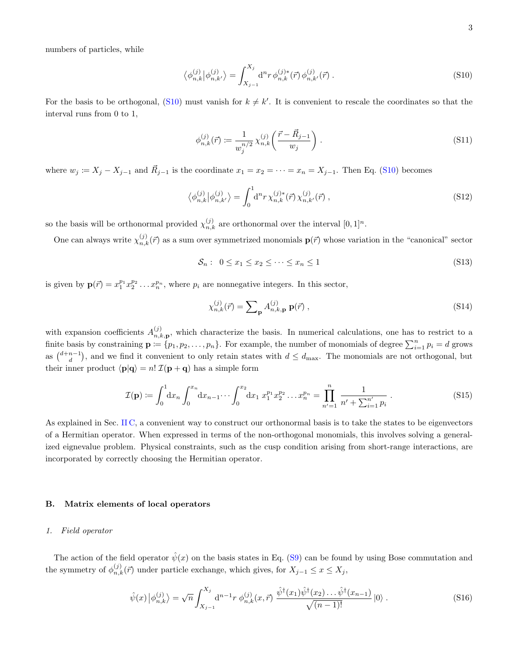numbers of particles, while

<span id="page-2-1"></span>
$$
\langle \phi_{n,k}^{(j)} | \phi_{n,k'}^{(j)} \rangle = \int_{X_{j-1}}^{X_j} d^n r \, \phi_{n,k}^{(j)*}(\vec{r}) \, \phi_{n,k'}^{(j)}(\vec{r}) \, . \tag{S10}
$$

For the basis to be orthogonal, [\(S10\)](#page-2-1) must vanish for  $k \neq k'$ . It is convenient to rescale the coordinates so that the interval runs from 0 to 1,

<span id="page-2-2"></span>
$$
\phi_{n,k}^{(j)}(\vec{r}) \coloneqq \frac{1}{w_j^{n/2}} \chi_{n,k}^{(j)}\left(\frac{\vec{r} - \vec{R}_{j-1}}{w_j}\right). \tag{S11}
$$

where  $w_j := X_j - X_{j-1}$  and  $\vec{R}_{j-1}$  is the coordinate  $x_1 = x_2 = \cdots = x_n = X_{j-1}$ . Then Eq. [\(S10\)](#page-2-1) becomes

$$
\langle \phi_{n,k}^{(j)} | \phi_{n,k'}^{(j)} \rangle = \int_0^1 \! \mathrm{d}^n r \, \chi_{n,k}^{(j)*}(\vec{r}) \, \chi_{n,k'}^{(j)}(\vec{r}) \;, \tag{S12}
$$

so the basis will be orthonormal provided  $\chi_{n,k}^{(j)}$  are orthonormal over the interval  $[0,1]^n$ .

One can always write  $\chi_{n,k}^{(j)}(\vec{r})$  as a sum over symmetrized monomials  ${\bf p}(\vec{r})$  whose variation in the "canonical" sector

<span id="page-2-4"></span>
$$
\mathcal{S}_n: \ 0 \le x_1 \le x_2 \le \dots \le x_n \le 1 \tag{S13}
$$

is given by  $\mathbf{p}(\vec{r}) = x_1^{p_1} x_2^{p_2} \dots x_n^{p_n}$ , where  $p_i$  are nonnegative integers. In this sector,

<span id="page-2-3"></span>
$$
\chi_{n,k}^{(j)}(\vec{r}) = \sum_{\mathbf{p}} A_{n,k,\mathbf{p}}^{(j)} \mathbf{p}(\vec{r}), \qquad (S14)
$$

with expansion coefficients  $A_{n,k}^{(j)}$  $n_{n,k,\mathbf{p}}^{(j)}$ , which characterize the basis. In numerical calculations, one has to restrict to a finite basis by constraining  $\mathbf{p} := \{p_1, p_2, \ldots, p_n\}$ . For example, the number of monomials of degree  $\sum_{i=1}^n p_i = d$  grows as  $\binom{d+n-1}{d}$ , and we find it convenient to only retain states with  $d \leq d_{\text{max}}$ . The monomials are not orthogonal, but their inner product  $\langle \mathbf{p} | \mathbf{q} \rangle = n! \mathcal{I}(\mathbf{p} + \mathbf{q})$  has a simple form

<span id="page-2-5"></span>
$$
\mathcal{I}(\mathbf{p}) \coloneqq \int_0^1 dx_n \int_0^{x_n} dx_{n-1} \cdots \int_0^{x_2} dx_1 \ x_1^{p_1} x_2^{p_2} \dots x_n^{p_n} = \prod_{n'=1}^n \frac{1}{n' + \sum_{i=1}^{n'} p_i} \,. \tag{S15}
$$

As explained in Sec. [II C,](#page-5-0) a convenient way to construct our orthonormal basis is to take the states to be eigenvectors of a Hermitian operator. When expressed in terms of the non-orthogonal monomials, this involves solving a generalized eignevalue problem. Physical constraints, such as the cusp condition arising from short-range interactions, are incorporated by correctly choosing the Hermitian operator.

### <span id="page-2-0"></span>B. Matrix elements of local operators

#### <span id="page-2-7"></span>1. Field operator

The action of the field operator  $\hat{\psi}(x)$  on the basis states in Eq. [\(S9\)](#page-1-3) can be found by using Bose commutation and the symmetry of  $\phi_{n,k}^{(j)}(\vec{r})$  under particle exchange, which gives, for  $X_{j-1} \leq x \leq X_j$ ,

<span id="page-2-6"></span>
$$
\hat{\psi}(x) \left| \phi_{n,k}^{(j)} \right\rangle = \sqrt{n} \int_{X_{j-1}}^{X_j} d^{n-1} r \, \phi_{n,k}^{(j)}(x, \vec{r}) \, \frac{\hat{\psi}^{\dagger}(x_1) \hat{\psi}^{\dagger}(x_2) \dots \hat{\psi}^{\dagger}(x_{n-1})}{\sqrt{(n-1)!}} \left| 0 \right\rangle . \tag{S16}
$$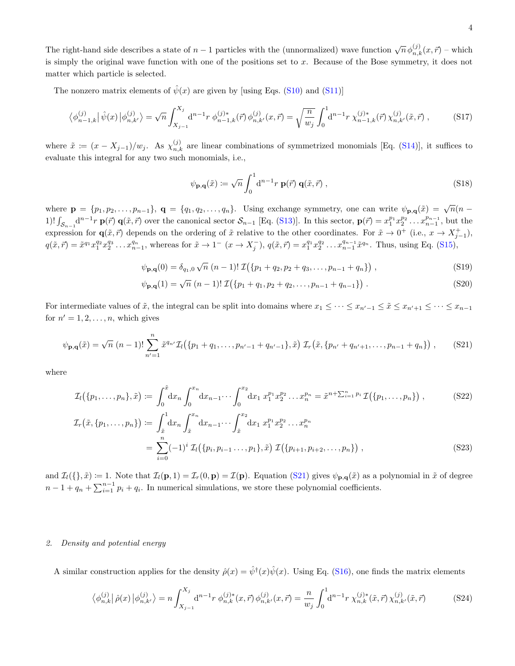The right-hand side describes a state of  $n-1$  particles with the (unnormalized) wave function  $\sqrt{n} \phi_{n,k}^{(j)}(x, \vec{r})$  – which is simply the original wave function with one of the positions set to  $x$ . Because of the Bose symmetry, it does not matter which particle is selected.

The nonzero matrix elements of  $\hat{\psi}(x)$  are given by [using Eqs. [\(S10\)](#page-2-1) and [\(S11\)](#page-2-2)]

$$
\left\langle \phi_{n-1,k}^{(j)} \right| \hat{\psi}(x) \left| \phi_{n,k'}^{(j)} \right\rangle = \sqrt{n} \int_{X_{j-1}}^{X_j} d^{n-1}r \; \phi_{n-1,k}^{(j)*}(\vec{r}) \, \phi_{n,k'}^{(j)}(x,\vec{r}) = \sqrt{\frac{n}{w_j}} \int_0^1 d^{n-1}r \; \chi_{n-1,k}^{(j)*}(\vec{r}) \, \chi_{n,k'}^{(j)}(\tilde{x},\vec{r}) \; , \tag{S17}
$$

where  $\tilde{x} := (x - X_{j-1})/w_j$ . As  $\chi_{n,k}^{(j)}$  are linear combinations of symmetrized monomials [Eq. [\(S14\)](#page-2-3)], it suffices to evaluate this integral for any two such monomials, i.e.,

<span id="page-3-2"></span><span id="page-3-1"></span>
$$
\psi_{\mathbf{p},\mathbf{q}}(\tilde{x}) \coloneqq \sqrt{n} \int_0^1 \mathrm{d}^{n-1} r \, \mathbf{p}(\vec{r}) \, \mathbf{q}(\tilde{x}, \vec{r}) \,, \tag{S18}
$$

where  $\mathbf{p} = \{p_1, p_2, \ldots, p_{n-1}\}, \mathbf{q} = \{q_1, q_2, \ldots, q_n\}.$  Using exchange symmetry, one can write  $\psi_{\mathbf{p},\mathbf{q}}(\tilde{x}) = \sqrt{n}(n-1)$ 1)!  $\int_{\mathcal{S}_{n-1}} d^{n-1} r \mathbf{p}(\vec{r}) \mathbf{q}(\tilde{x}, \vec{r})$  over the canonical sector  $\mathcal{S}_{n-1}$  [Eq. [\(S13\)](#page-2-4)]. In this sector,  $\mathbf{p}(\vec{r}) = x_1^{p_1} x_2^{p_2} \dots x_{n-1}^{p_{n-1}}$ , but the expression for  $\mathbf{q}(\tilde{x}, \vec{r})$  depends on the ordering of  $\tilde{x}$  relative to the other coordinates. For  $\tilde{x} \to 0^+$  (i.e.,  $x \to X_{j-1}^+$ ),  $q(\tilde{x}, \vec{r}) = \tilde{x}^{q_1} x_1^{q_2} x_2^{q_3} \dots x_{n-1}^{q_n}$ , whereas for  $\tilde{x} \to 1^ (x \to X_j^-)$ ,  $q(\tilde{x}, \vec{r}) = x_1^{q_1} x_2^{q_2} \dots x_{n-1}^{q_{n-1}} \tilde{x}^{q_n}$ . Thus, using Eq. [\(S15\)](#page-2-5),

$$
\psi_{\mathbf{p},\mathbf{q}}(0) = \delta_{q_1,0} \sqrt{n} \left( n-1 \right) ! \mathcal{I} \left( \{ p_1 + q_2, p_2 + q_3, \dots, p_{n-1} + q_n \} \right), \tag{S19}
$$

<span id="page-3-4"></span><span id="page-3-3"></span>
$$
\psi_{\mathbf{p},\mathbf{q}}(1) = \sqrt{n} \left( n-1 \right) ! \mathcal{I} \left( \{ p_1 + q_1, p_2 + q_2, \dots, p_{n-1} + q_{n-1} \} \right). \tag{S20}
$$

For intermediate values of  $\tilde{x}$ , the integral can be split into domains where  $x_1 \leq \cdots \leq x_{n'-1} \leq \tilde{x} \leq x_{n'+1} \leq \cdots \leq x_{n-1}$ for  $n' = 1, 2, \ldots, n$ , which gives

<span id="page-3-0"></span>
$$
\psi_{\mathbf{p},\mathbf{q}}(\tilde{x}) = \sqrt{n} \left( n - 1 \right) ! \sum_{n'=1}^{n} \tilde{x}^{q_{n'}} \mathcal{I}_l \big( \{ p_1 + q_1, \dots, p_{n'-1} + q_{n'-1} \}, \tilde{x} \big) \mathcal{I}_r \big( \tilde{x}, \{ p_{n'} + q_{n'+1}, \dots, p_{n-1} + q_n \} \big) \,, \tag{S21}
$$

where

$$
\mathcal{I}_{l}(\{p_{1},\ldots,p_{n}\},\tilde{x}) := \int_{0}^{\tilde{x}} dx_{n} \int_{0}^{x_{n}} dx_{n-1} \cdots \int_{0}^{x_{2}} dx_{1} x_{1}^{p_{1}} x_{2}^{p_{2}} \ldots x_{n}^{p_{n}} = \tilde{x}^{n+\sum_{i=1}^{n} p_{i}} \mathcal{I}(\{p_{1},\ldots,p_{n}\}) ,
$$
\n
$$
\mathcal{I}_{r}(\tilde{x},\{p_{1},\ldots,p_{n}\}) := \int_{\tilde{x}}^{1} dx_{n} \int_{\tilde{x}}^{x_{n}} dx_{n-1} \cdots \int_{\tilde{x}}^{x_{2}} dx_{1} x_{1}^{p_{1}} x_{2}^{p_{2}} \ldots x_{n}^{p_{n}}
$$
\n
$$
= \sum_{i=0}^{n} (-1)^{i} \mathcal{I}_{l}(\{p_{i},p_{i-1}\ldots,p_{1}\},\tilde{x}) \mathcal{I}(\{p_{i+1},p_{i+2},\ldots,p_{n}\}) ,
$$
\n(S23)

<span id="page-3-6"></span>and  $\mathcal{I}_l(\{\}, \tilde{x}) \coloneqq 1$ . Note that  $\mathcal{I}_l(\mathbf{p}, 1) = \mathcal{I}_r(0, \mathbf{p}) = \mathcal{I}(\mathbf{p})$ . Equation [\(S21\)](#page-3-0) gives  $\psi_{\mathbf{p},\mathbf{q}}(\tilde{x})$  as a polynomial in  $\tilde{x}$  of degree  $n-1+q_n+\sum_{i=1}^{n-1}p_i+q_i$ . In numerical simulations, we store these polynomial coefficients.

### 2. Density and potential energy

A similar construction applies for the density  $\hat{\rho}(x) = \hat{\psi}^{\dagger}(x)\hat{\psi}(x)$ . Using Eq. [\(S16\)](#page-2-6), one finds the matrix elements

<span id="page-3-5"></span>
$$
\langle \phi_{n,k}^{(j)} | \hat{\rho}(x) | \phi_{n,k'}^{(j)} \rangle = n \int_{X_{j-1}}^{X_j} d^{n-1} r \, \phi_{n,k}^{(j)*}(x, \vec{r}) \, \phi_{n,k'}^{(j)}(x, \vec{r}) = \frac{n}{w_j} \int_0^1 d^{n-1} r \, \chi_{n,k}^{(j)*}(\tilde{x}, \vec{r}) \, \chi_{n,k'}^{(j)}(\tilde{x}, \vec{r}) \tag{S24}
$$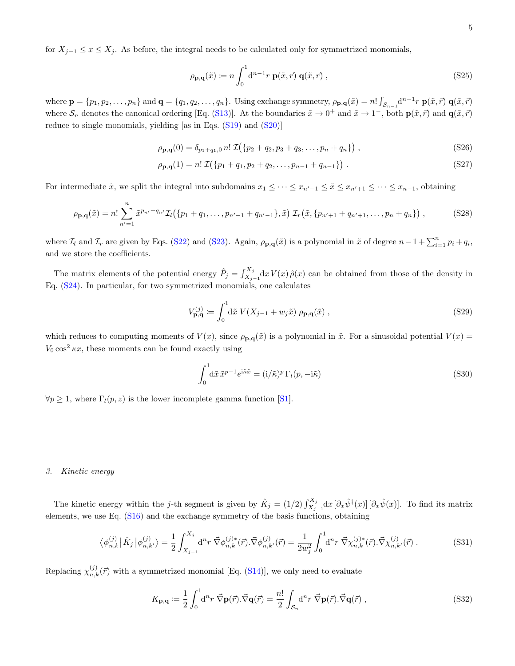for  $X_{j-1} \leq x \leq X_j$ . As before, the integral needs to be calculated only for symmetrized monomials,

$$
\rho_{\mathbf{p},\mathbf{q}}(\tilde{x}) \coloneqq n \int_0^1 \mathrm{d}^{n-1} r \, \mathbf{p}(\tilde{x}, \vec{r}) \, \mathbf{q}(\tilde{x}, \vec{r}) \,, \tag{S25}
$$

where  $\mathbf{p} = \{p_1, p_2, \ldots, p_n\}$  and  $\mathbf{q} = \{q_1, q_2, \ldots, q_n\}$ . Using exchange symmetry,  $\rho_{\mathbf{p},\mathbf{q}}(\tilde{x}) = n! \int_{\mathcal{S}_{n-1}} d^{n-1} r \mathbf{p}(\tilde{x}, \vec{r}) \mathbf{q}(\tilde{x}, \vec{r})$ where  $S_n$  denotes the canonical ordering [Eq. [\(S13\)](#page-2-4)]. At the boundaries  $\tilde{x} \to 0^+$  and  $\tilde{x} \to 1^-$ , both  $\mathbf{p}(\tilde{x}, \vec{r})$  and  $\mathbf{q}(\tilde{x}, \vec{r})$ reduce to single monomials, yielding [as in Eqs. [\(S19\)](#page-3-1) and [\(S20\)](#page-3-2)]

$$
\rho_{\mathbf{p},\mathbf{q}}(0) = \delta_{p_1+q_1,0} n! \mathcal{I}(\{p_2+q_2,p_3+q_3,\ldots,p_n+q_n\}) ,
$$
\n(S26)

$$
\rho_{\mathbf{p},\mathbf{q}}(1) = n! \mathcal{I}(\{p_1 + q_1, p_2 + q_2, \dots, p_{n-1} + q_{n-1}\}) \tag{S27}
$$

For intermediate  $\tilde{x}$ , we split the integral into subdomains  $x_1 \leq \cdots \leq x_{n-1} \leq \tilde{x} \leq x_{n'+1} \leq \cdots \leq x_{n-1}$ , obtaining

$$
\rho_{\mathbf{p},\mathbf{q}}(\tilde{x}) = n! \sum_{n'=1}^{n} \tilde{x}^{p_{n'}+q_{n'}} \mathcal{I}_l(\{p_1+q_1,\ldots,p_{n'-1}+q_{n'-1}\},\tilde{x}) \mathcal{I}_r(\tilde{x},\{p_{n'+1}+q_{n'+1},\ldots,p_n+q_n\}) ,\tag{S28}
$$

where  $\mathcal{I}_l$  and  $\mathcal{I}_r$  are given by Eqs. [\(S22\)](#page-3-3) and [\(S23\)](#page-3-4). Again,  $\rho_{\mathbf{p},\mathbf{q}}(\tilde{x})$  is a polynomial in  $\tilde{x}$  of degree  $n-1+\sum_{i=1}^n p_i+q_i$ , and we store the coefficients.

The matrix elements of the potential energy  $\hat{P}_j = \int_{X_{j-1}}^{X_j} dx V(x) \hat{\rho}(x)$  can be obtained from those of the density in Eq. [\(S24\)](#page-3-5). In particular, for two symmetrized monomials, one calculates

$$
V_{\mathbf{p},\mathbf{q}}^{(j)} \coloneqq \int_0^1 d\tilde{x} \ V(X_{j-1} + w_j \tilde{x}) \ \rho_{\mathbf{p},\mathbf{q}}(\tilde{x}) \ , \tag{S29}
$$

which reduces to computing moments of  $V(x)$ , since  $\rho_{\mathbf{p},\mathbf{q}}(\tilde{x})$  is a polynomial in  $\tilde{x}$ . For a sinusoidal potential  $V(x)$  =  $V_0 \cos^2 \kappa x$ , these moments can be found exactly using

$$
\int_0^1 d\tilde{x}\,\tilde{x}^{p-1}e^{i\tilde{\kappa}\tilde{x}} = (i/\tilde{\kappa})^p \Gamma_l(p, -i\tilde{\kappa})
$$
\n(S30)

<span id="page-4-0"></span> $\forall p \geq 1$ , where  $\Gamma_l(p, z)$  is the lower incomplete gamma function [\[S1\]](#page-15-1).

### 3. Kinetic energy

The kinetic energy within the j-th segment is given by  $\hat{K}_j = (1/2) \int_{X_{j-1}}^{X_j} dx [\partial_x \hat{\psi}^\dagger(x)] [\partial_x \hat{\psi}(x)]$ . To find its matrix elements, we use Eq. [\(S16\)](#page-2-6) and the exchange symmetry of the basis functions, obtaining

$$
\left\langle \phi_{n,k}^{(j)} \right| \hat{K}_j \left| \phi_{n,k'}^{(j)} \right\rangle = \frac{1}{2} \int_{X_{j-1}}^{X_j} d^n r \; \vec{\nabla} \phi_{n,k}^{(j)*}(\vec{r}) \cdot \vec{\nabla} \phi_{n,k'}^{(j)}(\vec{r}) = \frac{1}{2w_j^2} \int_0^1 d^n r \; \vec{\nabla} \chi_{n,k}^{(j)*}(\vec{r}) \cdot \vec{\nabla} \chi_{n,k'}^{(j)}(\vec{r}) \; . \tag{S31}
$$

Replacing  $\chi_{n,k}^{(j)}(\vec{r})$  with a symmetrized monomial [Eq. [\(S14\)](#page-2-3)], we only need to evaluate

$$
K_{\mathbf{p},\mathbf{q}} \coloneqq \frac{1}{2} \int_0^1 \mathrm{d}^n r \; \vec{\nabla} \mathbf{p}(\vec{r}). \vec{\nabla} \mathbf{q}(\vec{r}) = \frac{n!}{2} \int_{\mathcal{S}_n} \mathrm{d}^n r \; \vec{\nabla} \mathbf{p}(\vec{r}). \vec{\nabla} \mathbf{q}(\vec{r}), \tag{S32}
$$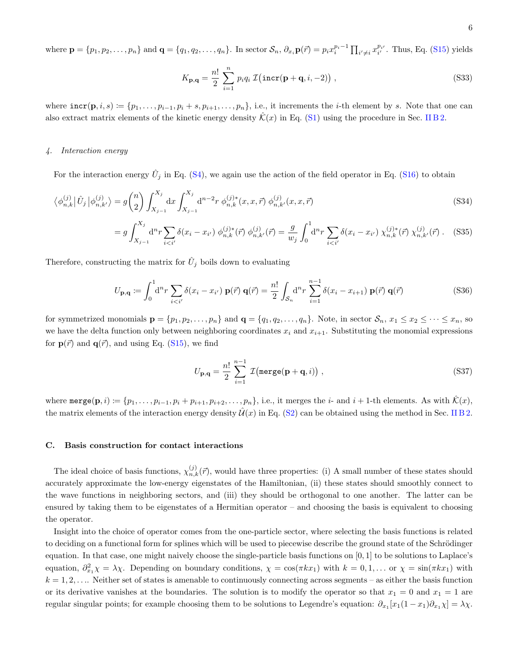where  $\mathbf{p} = \{p_1, p_2, \ldots, p_n\}$  and  $\mathbf{q} = \{q_1, q_2, \ldots, q_n\}$ . In sector  $\mathcal{S}_n$ ,  $\partial_{x_i} \mathbf{p}(\vec{r}) = p_i x_i^{p_i - 1} \prod_{i' \neq i} x_{i'}^{p_{i'}}$ . Thus, Eq. [\(S15\)](#page-2-5) yields

$$
K_{\mathbf{p},\mathbf{q}} = \frac{n!}{2} \sum_{i=1}^{n} p_i q_i \mathcal{I}(\text{incr}(\mathbf{p} + \mathbf{q}, i, -2)), \qquad (S33)
$$

<span id="page-5-1"></span>where  $\texttt{incr}(p, i, s) \coloneqq \{p_1, \ldots, p_{i-1}, p_i + s, p_{i+1}, \ldots, p_n\}$ , i.e., it increments the *i*-th element by *s*. Note that one can also extract matrix elements of the kinetic energy density  $\mathcal{K}(x)$  in Eq. [\(S1\)](#page-0-1) using the procedure in Sec. [II B 2.](#page-3-6)

### 4. Interaction energy

For the interaction energy  $\hat{U}_j$  in Eq. [\(S4\)](#page-0-2), we again use the action of the field operator in Eq. [\(S16\)](#page-2-6) to obtain

$$
\langle \phi_{n,k}^{(j)} | \hat{U}_j | \phi_{n,k'}^{(j)} \rangle = g \binom{n}{2} \int_{X_{j-1}}^{X_j} dx \int_{X_{j-1}}^{X_j} d^{n-2}r \ \phi_{n,k}^{(j)*}(x, x, \vec{r}) \ \phi_{n,k'}^{(j)}(x, x, \vec{r}) \tag{S34}
$$

$$
=g\int_{X_{j-1}}^{X_j} d^n r \sum_{i (S35)
$$

Therefore, constructing the matrix for  $\hat{U}_j$  boils down to evaluating

$$
U_{\mathbf{p},\mathbf{q}} := \int_0^1 \mathrm{d}^n r \sum_{i < i'} \delta(x_i - x_{i'}) \, \mathbf{p}(\vec{r}) \, \mathbf{q}(\vec{r}) = \frac{n!}{2} \int_{\mathcal{S}_n} \mathrm{d}^n r \sum_{i=1}^{n-1} \delta(x_i - x_{i+1}) \, \mathbf{p}(\vec{r}) \, \mathbf{q}(\vec{r}) \tag{S36}
$$

for symmetrized monomials  $\mathbf{p} = \{p_1, p_2, \ldots, p_n\}$  and  $\mathbf{q} = \{q_1, q_2, \ldots, q_n\}$ . Note, in sector  $\mathcal{S}_n, x_1 \leq x_2 \leq \cdots \leq x_n$ , so we have the delta function only between neighboring coordinates  $x_i$  and  $x_{i+1}$ . Substituting the monomial expressions for  $p(\vec{r})$  and  $q(\vec{r})$ , and using Eq. [\(S15\)](#page-2-5), we find

$$
U_{\mathbf{p},\mathbf{q}} = \frac{n!}{2} \sum_{i=1}^{n-1} \mathcal{I}(\text{merge}(\mathbf{p} + \mathbf{q}, i)), \qquad (S37)
$$

<span id="page-5-0"></span>where  $\text{merge}(\mathbf{p}, i) := \{p_1, \ldots, p_{i-1}, p_i + p_{i+1}, p_{i+2}, \ldots, p_n\}$ , i.e., it merges the i- and  $i + 1$ -th elements. As with  $\hat{\mathcal{K}}(x)$ , the matrix elements of the interaction energy density  $\mathcal{U}(x)$  in Eq. [\(S2\)](#page-0-3) can be obtained using the method in Sec. [II B 2.](#page-3-6)

#### C. Basis construction for contact interactions

The ideal choice of basis functions,  $\chi_{n,k}^{(j)}(\vec{r})$ , would have three properties: (i) A small number of these states should accurately approximate the low-energy eigenstates of the Hamiltonian, (ii) these states should smoothly connect to the wave functions in neighboring sectors, and (iii) they should be orthogonal to one another. The latter can be ensured by taking them to be eigenstates of a Hermitian operator – and choosing the basis is equivalent to choosing the operator.

Insight into the choice of operator comes from the one-particle sector, where selecting the basis functions is related to deciding on a functional form for splines which will be used to piecewise describe the ground state of the Schrödinger equation. In that case, one might naively choose the single-particle basis functions on  $[0, 1]$  to be solutions to Laplace's equation,  $\partial_{x_1}^2 \chi = \lambda \chi$ . Depending on boundary conditions,  $\chi = \cos(\pi k x_1)$  with  $k = 0, 1, \ldots$  or  $\chi = \sin(\pi k x_1)$  with  $k = 1, 2, \ldots$  Neither set of states is amenable to continuously connecting across segments – as either the basis function or its derivative vanishes at the boundaries. The solution is to modify the operator so that  $x_1 = 0$  and  $x_1 = 1$  are regular singular points; for example choosing them to be solutions to Legendre's equation:  $\partial_{x_1}[x_1(1-x_1)\partial_{x_1}\chi] = \lambda \chi$ .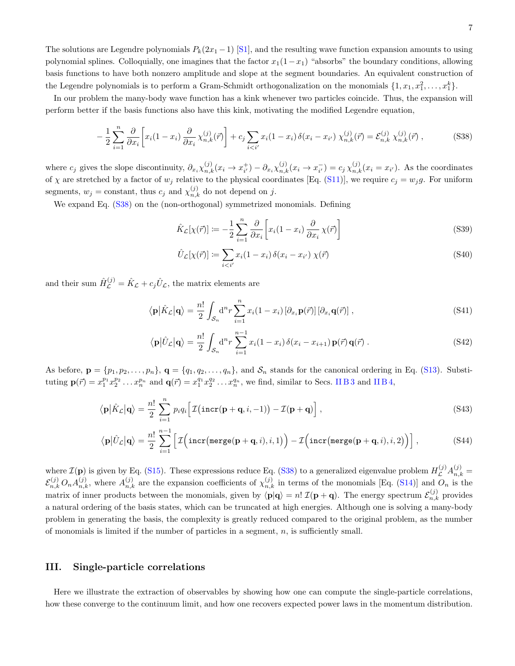The solutions are Legendre polynomials  $P_k(2x_1 - 1)$  [\[S1\]](#page-15-1), and the resulting wave function expansion amounts to using polynomial splines. Colloquially, one imagines that the factor  $x_1(1-x_1)$  "absorbs" the boundary conditions, allowing basis functions to have both nonzero amplitude and slope at the segment boundaries. An equivalent construction of the Legendre polynomials is to perform a Gram-Schmidt orthogonalization on the monomials  $\{1, x_1, x_1^2, \ldots, x_1^k\}$ .

In our problem the many-body wave function has a kink whenever two particles coincide. Thus, the expansion will perform better if the basis functions also have this kink, motivating the modified Legendre equation,

<span id="page-6-2"></span>
$$
-\frac{1}{2}\sum_{i=1}^{n}\frac{\partial}{\partial x_{i}}\left[x_{i}(1-x_{i})\frac{\partial}{\partial x_{i}}\chi_{n,k}^{(j)}(\vec{r})\right]+c_{j}\sum_{i(S38)
$$

where  $c_j$  gives the slope discontinuity,  $\partial_{x_i}\chi_{n,k}^{(j)}(x_i \to x_{i'}^+) - \partial_{x_i}\chi_{n,k}^{(j)}(x_i \to x_{i'}^-) = c_j \chi_{n,k}^{(j)}(x_i = x_{i'})$ . As the coordinates of  $\chi$  are stretched by a factor of  $w_j$  relative to the physical coordinates [Eq. [\(S11\)](#page-2-2)], we require  $c_j = w_j g$ . For uniform segments,  $w_j = \text{constant}$ , thus  $c_j$  and  $\chi_{n,k}^{(j)}$  do not depend on j.

We expand Eq.  $(S38)$  on the (non-orthogonal) symmetrized monomials. Defining

$$
\hat{K}_{\mathcal{L}}[\chi(\vec{r})] := -\frac{1}{2} \sum_{i=1}^{n} \frac{\partial}{\partial x_{i}} \left[ x_{i}(1-x_{i}) \frac{\partial}{\partial x_{i}} \chi(\vec{r}) \right]
$$
\n(S39)

<span id="page-6-4"></span><span id="page-6-3"></span>
$$
\hat{U}_{\mathcal{L}}[\chi(\vec{r})] := \sum_{i < i'} x_i (1 - x_i) \,\delta(x_i - x_{i'}) \,\chi(\vec{r}) \tag{S40}
$$

and their sum  $\hat{H}_{\mathcal{L}}^{(j)} = \hat{K}_{\mathcal{L}} + c_j \hat{U}_{\mathcal{L}}$ , the matrix elements are

$$
\langle \mathbf{p} | \hat{K}_{\mathcal{L}} | \mathbf{q} \rangle = \frac{n!}{2} \int_{\mathcal{S}_n} d^n r \sum_{i=1}^n x_i (1 - x_i) \left[ \partial_{x_i} \mathbf{p}(\vec{r}) \right] \left[ \partial_{x_i} \mathbf{q}(\vec{r}) \right], \tag{S41}
$$

<span id="page-6-5"></span>
$$
\langle \mathbf{p} | \hat{U}_{\mathcal{L}} | \mathbf{q} \rangle = \frac{n!}{2} \int_{\mathcal{S}_n} d^n r \sum_{i=1}^{n-1} x_i (1 - x_i) \delta(x_i - x_{i+1}) \mathbf{p}(\vec{r}) \mathbf{q}(\vec{r}) . \tag{S42}
$$

As before,  $\mathbf{p} = \{p_1, p_2, \ldots, p_n\}$ ,  $\mathbf{q} = \{q_1, q_2, \ldots, q_n\}$ , and  $\mathcal{S}_n$  stands for the canonical ordering in Eq. [\(S13\)](#page-2-4). Substituting  $\mathbf{p}(\vec{r}) = x_1^{p_1} x_2^{p_2} \dots x_n^{p_n}$  and  $\mathbf{q}(\vec{r}) = x_1^{q_1} x_2^{q_2} \dots x_n^{q_n}$ , we find, similar to Secs. IIB3 and IIB4,

$$
\langle \mathbf{p} | \hat{K}_{\mathcal{L}} | \mathbf{q} \rangle = \frac{n!}{2} \sum_{i=1}^{n} p_i q_i \Big[ \mathcal{I} \big( \mathrm{incr}(\mathbf{p} + \mathbf{q}, i, -1) \big) - \mathcal{I}(\mathbf{p} + \mathbf{q}) \Big], \tag{S43}
$$

$$
\langle \mathbf{p} | \hat{U}_{\mathcal{L}} | \mathbf{q} \rangle = \frac{n!}{2} \sum_{i=1}^{n-1} \left[ \mathcal{I} \Big( \mathrm{incr} \big( \mathrm{merge}(\mathbf{p} + \mathbf{q}, i), i, 1 \big) \Big) - \mathcal{I} \Big( \mathrm{incr} \big( \mathrm{merge}(\mathbf{p} + \mathbf{q}, i), i, 2 \big) \Big) \right], \tag{S44}
$$

where  $\mathcal{I}(\mathbf{p})$  is given by Eq. [\(S15\)](#page-2-5). These expressions reduce Eq. [\(S38\)](#page-6-2) to a generalized eigenvalue problem  $H_L^{(j)}A_{n,k}^{(j)}=$  $\mathcal{E}_{n,k}^{(j)} O_n A_{n,k}^{(j)}$ , where  $A_{n,k}^{(j)}$  are the expansion coefficients of  $\chi_{n,k}^{(j)}$  in terms of the monomials [Eq. [\(S14\)](#page-2-3)] and  $O_n$  is the matrix of inner products between the monomials, given by  $\langle \mathbf{p} | \mathbf{q} \rangle = n! \mathcal{I}(\mathbf{p} + \mathbf{q})$ . The energy spectrum  $\mathcal{E}_{n,k}^{(j)}$  provides a natural ordering of the basis states, which can be truncated at high energies. Although one is solving a many-body problem in generating the basis, the complexity is greatly reduced compared to the original problem, as the number of monomials is limited if the number of particles in a segment,  $n$ , is sufficiently small.

### <span id="page-6-0"></span>III. Single-particle correlations

<span id="page-6-1"></span>Here we illustrate the extraction of observables by showing how one can compute the single-particle correlations, how these converge to the continuum limit, and how one recovers expected power laws in the momentum distribution.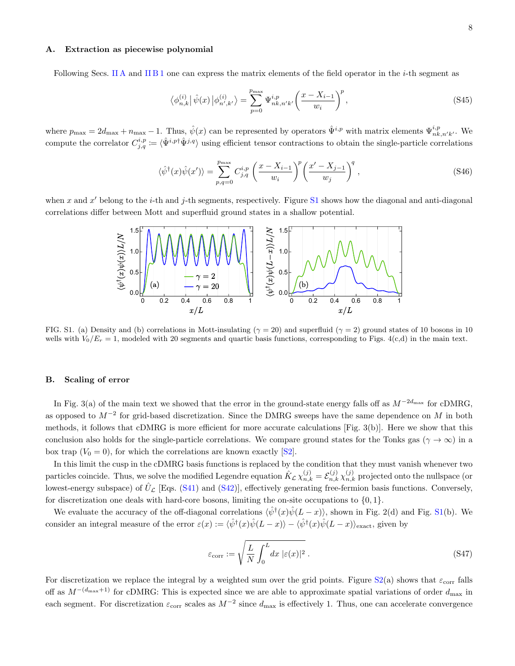### A. Extraction as piecewise polynomial

Following Secs. [II A](#page-1-1) and [II B 1](#page-2-7) one can express the matrix elements of the field operator in the *i*-th segment as

$$
\langle \phi_{n,k}^{(i)} | \hat{\psi}(x) | \phi_{n',k'}^{(i)} \rangle = \sum_{p=0}^{p_{\text{max}}} \Psi_{nk,n'k'}^{i,p} \left( \frac{x - X_{i-1}}{w_i} \right)^p, \tag{S45}
$$

where  $p_{\text{max}} = 2d_{\text{max}} + n_{\text{max}} - 1$ . Thus,  $\hat{\psi}(x)$  can be represented by operators  $\hat{\Psi}^{i,p}_{ik}$  with matrix elements  $\Psi^{i,p}_{nk,n'k'}$ . We compute the correlator  $C^{i,p}_{j,q} := \langle \hat{\Psi}^{i,p \dagger} \hat{\Psi}^{j,q} \rangle$  using efficient tensor contractions to obtain the single-particle correlations

<span id="page-7-3"></span>
$$
\langle \hat{\psi}^{\dagger}(x)\hat{\psi}(x')\rangle = \sum_{p,q=0}^{p_{\text{max}}} C_{j,q}^{i,p} \left(\frac{x - X_{i-1}}{w_i}\right)^p \left(\frac{x' - X_{j-1}}{w_j}\right)^q,
$$
\n(S46)

when x and  $x'$  belong to the i-th and j-th segments, respectively. Figure [S1](#page-7-1) shows how the diagonal and anti-diagonal correlations differ between Mott and superfluid ground states in a shallow potential.



<span id="page-7-1"></span>FIG. S1. (a) Density and (b) correlations in Mott-insulating ( $\gamma = 20$ ) and superfluid ( $\gamma = 2$ ) ground states of 10 bosons in 10 wells with  $V_0/E_r = 1$ , modeled with 20 segments and quartic basis functions, corresponding to Figs.  $4(c,d)$  in the main text.

### <span id="page-7-0"></span>B. Scaling of error

In Fig. 3(a) of the main text we showed that the error in the ground-state energy falls off as  $M^{-2d_{\text{max}}}$  for cDMRG, as opposed to  $M^{-2}$  for grid-based discretization. Since the DMRG sweeps have the same dependence on M in both methods, it follows that cDMRG is more efficient for more accurate calculations [Fig. 3(b)]. Here we show that this conclusion also holds for the single-particle correlations. We compare ground states for the Tonks gas ( $\gamma \to \infty$ ) in a box trap  $(V_0 = 0)$ , for which the correlations are known exactly [\[S2\]](#page-16-0).

In this limit the cusp in the cDMRG basis functions is replaced by the condition that they must vanish whenever two particles coincide. Thus, we solve the modified Legendre equation  $\hat{K}_{\mathcal{L}} \chi_{n,k}^{(j)} = \mathcal{E}_{n,k}^{(j)} \chi_{n,k}^{(j)}$  projected onto the nullspace (or lowest-energy subspace) of  $\hat{U}_\mathcal{L}$  [Eqs. [\(S41\)](#page-6-3) and [\(S42\)](#page-6-4)], effectively generating free-fermion basis functions. Conversely, for discretization one deals with hard-core bosons, limiting the on-site occupations to  $\{0, 1\}$ .

We evaluate the accuracy of the off-diagonal correlations  $\langle \hat{\psi}^{\dagger}(x)\hat{\psi}(L-x)\rangle$ , shown in Fig. 2(d) and Fig. [S1\(](#page-7-1)b). We consider an integral measure of the error  $\varepsilon(x) := \langle \hat{\psi}^{\dagger}(x)\hat{\psi}(L-x) \rangle - \langle \hat{\psi}^{\dagger}(x)\hat{\psi}(L-x) \rangle_{\text{exact}}$ , given by

<span id="page-7-2"></span>
$$
\varepsilon_{\text{corr}} := \sqrt{\frac{L}{N} \int_0^L dx \, |\varepsilon(x)|^2} \,. \tag{S47}
$$

For discretization we replace the integral by a weighted sum over the grid points. Figure  $S_2(a)$  shows that  $\varepsilon_{\text{corr}}$  falls off as  $M^{-(d_{\text{max}}+1)}$  for cDMRG: This is expected since we are able to approximate spatial variations of order  $d_{\text{max}}$  in each segment. For discretization  $\varepsilon_{\text{corr}}$  scales as  $M^{-2}$  since  $d_{\text{max}}$  is effectively 1. Thus, one can accelerate convergence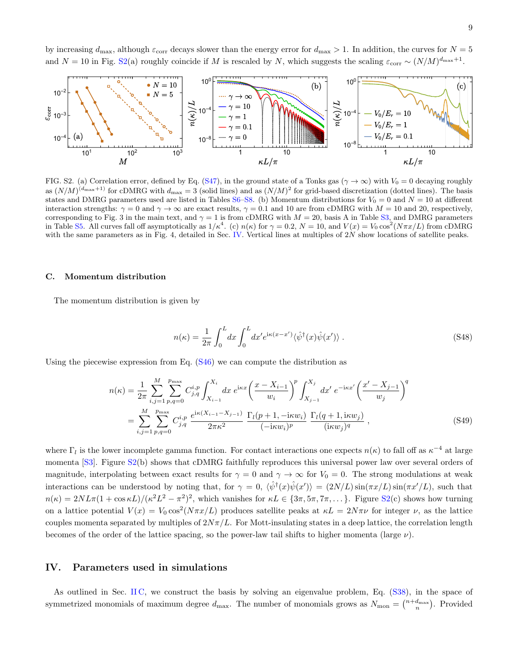by increasing  $d_{\text{max}}$ , although  $\varepsilon_{\text{corr}}$  decays slower than the energy error for  $d_{\text{max}} > 1$ . In addition, the curves for  $N = 5$ and  $N = 10$  in Fig. [S2\(](#page-8-2)a) roughly coincide if M is rescaled by N, which suggests the scaling  $\varepsilon_{\text{corr}} \sim (N/M)^{d_{\text{max}}+1}$ .



<span id="page-8-2"></span>FIG. S2. (a) Correlation error, defined by Eq. [\(S47\)](#page-7-2), in the ground state of a Tonks gas ( $\gamma \to \infty$ ) with  $V_0 = 0$  decaying roughly as  $(N/M)^{(d_{\text{max}}+1)}$  for cDMRG with  $d_{\text{max}}=3$  (solid lines) and as  $(N/M)^2$  for grid-based discretization (dotted lines). The basis states and DMRG parameters used are listed in Tables [S6–](#page-11-1)[S8.](#page-11-2) (b) Momentum distributions for  $V_0 = 0$  and  $N = 10$  at different interaction strengths:  $\gamma = 0$  and  $\gamma \to \infty$  are exact results,  $\gamma = 0.1$  and 10 are from cDMRG with  $M = 10$  and 20, respectively, corresponding to Fig. 3 in the main text, and  $\gamma = 1$  is from cDMRG with  $M = 20$ , basis A in Table [S3,](#page-10-0) and DMRG parameters in Table [S5.](#page-10-1) All curves fall off asymptotically as  $1/\kappa^4$ . (c)  $n(\kappa)$  for  $\gamma = 0.2$ ,  $N = 10$ , and  $V(x) = V_0 \cos^2(N\pi x/L)$  from cDMRG with the same parameters as in Fig. 4, detailed in Sec. [IV.](#page-8-1) Vertical lines at multiples of 2N show locations of satellite peaks.

### <span id="page-8-0"></span>C. Momentum distribution

The momentum distribution is given by

$$
n(\kappa) = \frac{1}{2\pi} \int_0^L dx \int_0^L dx' e^{i\kappa(x-x')} \langle \hat{\psi}^\dagger(x)\hat{\psi}(x')\rangle . \tag{S48}
$$

Using the piecewise expression from Eq.  $(S46)$  we can compute the distribution as

$$
n(\kappa) = \frac{1}{2\pi} \sum_{i,j=1}^{M} \sum_{p,q=0}^{p_{\text{max}}} C_{j,q}^{i,p} \int_{X_{i-1}}^{X_i} dx \ e^{\text{i}\kappa x} \left(\frac{x - X_{i-1}}{w_i}\right)^p \int_{X_{j-1}}^{X_j} dx' \ e^{-\text{i}\kappa x'} \left(\frac{x' - X_{j-1}}{w_j}\right)^q
$$
  

$$
= \sum_{i,j=1}^{M} \sum_{p,q=0}^{p_{\text{max}}} C_{j,q}^{i,p} \ \frac{e^{\text{i}\kappa (X_{i-1} - X_{j-1})}}{2\pi \kappa^2} \ \frac{\Gamma_l(p+1, -\text{i}\kappa w_i)}{(-\text{i}\kappa w_i)^p} \ \frac{\Gamma_l(q+1, \text{i}\kappa w_j)}{(\text{i}\kappa w_j)^q} \,, \tag{S49}
$$

where  $\Gamma_l$  is the lower incomplete gamma function. For contact interactions one expects  $n(\kappa)$  to fall off as  $\kappa^{-4}$  at large momenta [\[S3\]](#page-16-1). Figure [S2\(](#page-8-2)b) shows that cDMRG faithfully reproduces this universal power law over several orders of magnitude, interpolating between exact results for  $\gamma = 0$  and  $\gamma \to \infty$  for  $V_0 = 0$ . The strong modulations at weak interactions can be understood by noting that, for  $\gamma = 0$ ,  $\langle \hat{\psi}^{\dagger}(x) \hat{\psi}(x') \rangle = (2N/L) \sin(\pi x/L) \sin(\pi x'/L)$ , such that  $n(\kappa) = 2NL\pi(1+\cos\kappa L)/(\kappa^2 L^2 - \pi^2)^2$ , which vanishes for  $\kappa L \in \{3\pi, 5\pi, 7\pi, \dots\}$ . Figure [S2\(](#page-8-2)c) shows how turning on a lattice potential  $V(x) = V_0 \cos^2(N\pi x/L)$  produces satellite peaks at  $\kappa L = 2N\pi\nu$  for integer  $\nu$ , as the lattice couples momenta separated by multiples of  $2N\pi/L$ . For Mott-insulating states in a deep lattice, the correlation length becomes of the order of the lattice spacing, so the power-law tail shifts to higher momenta (large  $\nu$ ).

### <span id="page-8-1"></span>IV. Parameters used in simulations

As outlined in Sec. [II C,](#page-5-0) we construct the basis by solving an eigenvalue problem, Eq. [\(S38\)](#page-6-2), in the space of symmetrized monomials of maximum degree  $d_{\text{max}}$ . The number of monomials grows as  $N_{\text{mon}} = \binom{n+d_{\text{max}}}{n}$ . Provided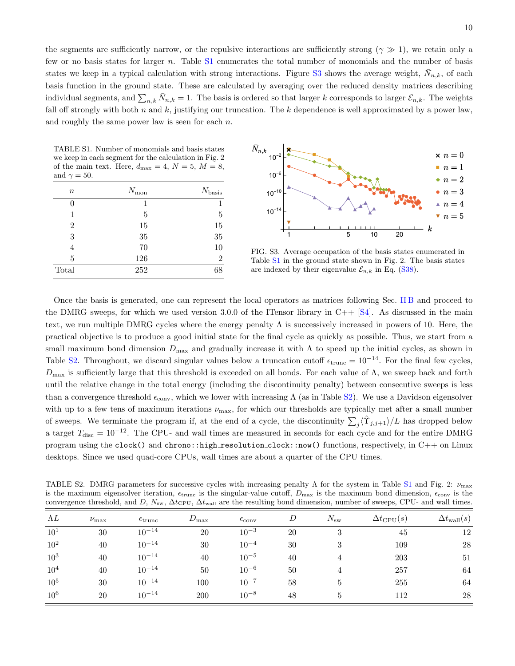the segments are sufficiently narrow, or the repulsive interactions are sufficiently strong ( $\gamma \gg 1$ ), we retain only a few or no basis states for larger n. Table [S1](#page-9-0) enumerates the total number of monomials and the number of basis states we keep in a typical calculation with strong interactions. Figure [S3](#page-9-1) shows the average weight,  $\bar{N}_{n,k}$ , of each basis function in the ground state. These are calculated by averaging over the reduced density matrices describing individual segments, and  $\sum_{n,k} \bar{N}_{n,k} = 1$ . The basis is ordered so that larger k corresponds to larger  $\mathcal{E}_{n,k}$ . The weights fall off strongly with both n and  $k$ , justifying our truncation. The  $k$  dependence is well approximated by a power law, and roughly the same power law is seen for each  $n$ .

<span id="page-9-0"></span>TABLE S1. Number of monomials and basis states we keep in each segment for the calculation in Fig. 2 of the main text. Here,  $d_{\text{max}} = 4$ ,  $N = 5$ ,  $M = 8$ , and  $\gamma = 50$ .

| $\it{n}$       | $N_{\rm mon}$ | $N_{\text{basis}}$ |
|----------------|---------------|--------------------|
| 0              | 1             |                    |
| 1              | 5             | 5                  |
| $\overline{2}$ | 15            | 15                 |
| 3              | $35\,$        | 35                 |
| 4              | 70            | 10                 |
| 5              | 126           | $\overline{2}$     |
| Total          | 252           | 68                 |



<span id="page-9-1"></span>FIG. S3. Average occupation of the basis states enumerated in Table [S1](#page-9-0) in the ground state shown in Fig. 2. The basis states are indexed by their eigenvalue  $\mathcal{E}_{n,k}$  in Eq. [\(S38\)](#page-6-2).

Once the basis is generated, one can represent the local operators as matrices following Sec. [II B](#page-2-0) and proceed to the DMRG sweeps, for which we used version 3.0.0 of the ITensor library in  $C_{++}$  [\[S4\]](#page-16-2). As discussed in the main text, we run multiple DMRG cycles where the energy penalty Λ is successively increased in powers of 10. Here, the practical objective is to produce a good initial state for the final cycle as quickly as possible. Thus, we start from a small maximum bond dimension  $D_{\text{max}}$  and gradually increase it with  $\Lambda$  to speed up the initial cycles, as shown in Table [S2.](#page-9-2) Throughout, we discard singular values below a truncation cutoff  $\epsilon_{\text{trunc}} = 10^{-14}$ . For the final few cycles,  $D_{\text{max}}$  is sufficiently large that this threshold is exceeded on all bonds. For each value of  $\Lambda$ , we sweep back and forth until the relative change in the total energy (including the discontinuity penalty) between consecutive sweeps is less than a convergence threshold  $\epsilon_{\rm conv}$ , which we lower with increasing  $\Lambda$  (as in Table [S2\)](#page-9-2). We use a Davidson eigensolver with up to a few tens of maximum iterations  $\nu_{\text{max}}$ , for which our thresholds are typically met after a small number of sweeps. We terminate the program if, at the end of a cycle, the discontinuity  $\sum_j \langle \hat{\Upsilon}_{j,j+1} \rangle/L$  has dropped below a target  $T_{\text{disc}} = 10^{-12}$ . The CPU- and wall times are measured in seconds for each cycle and for the entire DMRG program using the clock() and chrono::high\_resolution\_clock::now() functions, respectively, in C++ on Linux desktops. Since we used quad-core CPUs, wall times are about a quarter of the CPU times.

<span id="page-9-2"></span>TABLE S2. DMRG parameters for successive cycles with increasing penalty Λ for the system in Table [S1](#page-9-0) and Fig. 2:  $\nu_{\text{max}}$ is the maximum eigensolver iteration,  $\epsilon_{\text{trunc}}$  is the singular-value cutoff,  $D_{\text{max}}$  is the maximum bond dimension,  $\epsilon_{\text{conv}}$  is the convergence threshold, and D,  $N_{\rm sw}$ ,  $\Delta t_{\rm CPU}$ ,  $\Delta t_{\rm wall}$  are the resulting bond dimension, number of sweeps, CPU- and wall times.

| ΛL              | $\nu_{\text{max}}$ | $\epsilon_{\text{trunc}}$ | $D_{\max}$ | $\epsilon_{\rm conv}$ | D  | $N_{\rm sw}$ | $\Delta t_{\rm CPU}(s)$ | $\Delta t_{\text{wall}}(s)$ |
|-----------------|--------------------|---------------------------|------------|-----------------------|----|--------------|-------------------------|-----------------------------|
| $10^{1}$        | 30                 | $10^{-14}$                | 20         | $10^{-3}$             | 20 | 3            | 45                      | 12                          |
| $10^{2}$        | 40                 | $10^{-14}$                | 30         | $10^{-4}$             | 30 | 3            | 109                     | 28                          |
| $10^{3}$        | 40                 | $10^{-14}$                | 40         | $10^{-5}$             | 40 |              | 203                     | 51                          |
| $10^{4}$        | 40                 | $10^{-14}$                | 50         | $10^{-6}$             | 50 |              | 257                     | 64                          |
| 10 <sup>5</sup> | 30                 | $10^{-14}$                | 100        | $10^{-7}$             | 58 | 5            | 255                     | 64                          |
| 10 <sup>6</sup> | 20                 | $10^{-14}$                | 200        | $10^{-8}$             | 48 | 5            | 112                     | 28                          |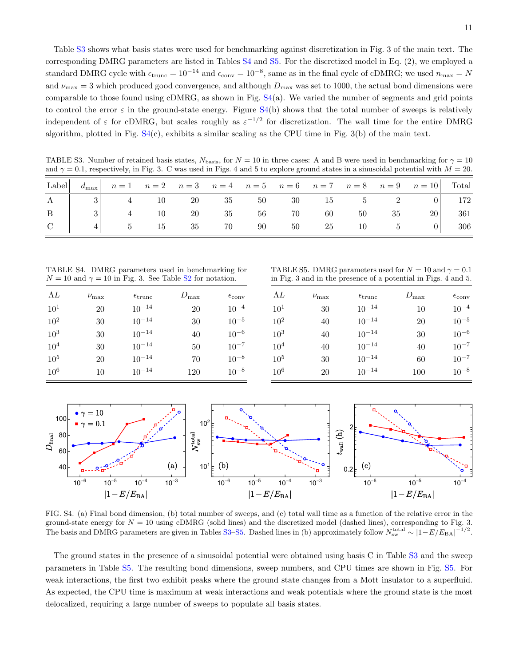Table [S3](#page-10-0) shows what basis states were used for benchmarking against discretization in Fig. 3 of the main text. The corresponding DMRG parameters are listed in Tables [S4](#page-10-2) and [S5.](#page-10-1) For the discretized model in Eq. (2), we employed a standard DMRG cycle with  $\epsilon_{\text{trunc}} = 10^{-14}$  and  $\epsilon_{\text{conv}} = 10^{-8}$ , same as in the final cycle of cDMRG; we used  $n_{\text{max}} = N$ and  $\nu_{\text{max}} = 3$  which produced good convergence, and although  $D_{\text{max}}$  was set to 1000, the actual bond dimensions were comparable to those found using cDMRG, as shown in Fig. [S4\(](#page-10-3)a). We varied the number of segments and grid points to control the error  $\varepsilon$  in the ground-state energy. Figure [S4\(](#page-10-3)b) shows that the total number of sweeps is relatively independent of  $\varepsilon$  for cDMRG, but scales roughly as  $\varepsilon^{-1/2}$  for discretization. The wall time for the entire DMRG algorithm, plotted in Fig.  $S4(c)$  $S4(c)$ , exhibits a similar scaling as the CPU time in Fig.  $3(b)$  of the main text.

<span id="page-10-0"></span>TABLE S3. Number of retained basis states,  $N_{\text{basis}}$ , for  $N = 10$  in three cases: A and B were used in benchmarking for  $\gamma = 10$ and  $\gamma = 0.1$ , respectively, in Fig. 3. C was used in Figs. 4 and 5 to explore ground states in a sinusoidal potential with  $M = 20$ .

|              |   |                                 |                                   |  |  |          | Label $d_{\text{max}}$ $n=1$ $n=2$ $n=3$ $n=4$ $n=5$ $n=6$ $n=7$ $n=8$ $n=9$ $n=10$ Total |         |
|--------------|---|---------------------------------|-----------------------------------|--|--|----------|-------------------------------------------------------------------------------------------|---------|
|              |   | A   3   4 10 20 35 50 30 15 5 2 |                                   |  |  |          |                                                                                           | $0$ 172 |
| $\mathbf{B}$ | 3 |                                 | $4 \t 10 \t 20 \t 35 \t 56 \t 70$ |  |  | 60 50 35 | 20                                                                                        | 361     |
| $\mathbf C$  |   |                                 | 5 15 35 70 90 50 25 10 5          |  |  |          | $0$                                                                                       | 306     |

<span id="page-10-2"></span>TABLE S4. DMRG parameters used in benchmarking for  $N = 10$  and  $\gamma = 10$  in Fig. 3. See Table [S2](#page-9-2) for notation.

| ΛL       | $\nu_{\text{max}}$ | $\epsilon_{\text{trunc}}$ | $D_{\text{max}}$ | $\epsilon_{\rm conv}$ |
|----------|--------------------|---------------------------|------------------|-----------------------|
| $10^{1}$ | 20                 | $10^{-14}$                | 20               | $10^{-4}$             |
| $10^{2}$ | 30                 | $10^{-14}$                | 30               | $10^{-5}$             |
| $10^{3}$ | 30                 | $10^{-14}$                | 40               | $10^{-6}$             |
| $10^{4}$ | 30                 | $10^{-14}$                | 50               | $10^{-7}$             |
| $10^{5}$ | 20                 | $10^{-14}$                | 70               | $10^{-8}$             |
| $10^6$   | 10                 | $10^{-14}$                | 120              | $10^{-8}$             |

<span id="page-10-1"></span>TABLE S5. DMRG parameters used for  $N = 10$  and  $\gamma = 0.1$ in Fig. 3 and in the presence of a potential in Figs. 4 and 5.

| ΛL              | $\nu_{\text{max}}$ | $\epsilon_{\text{trunc}}$ | $D_{\max}$ | $\epsilon_{\rm conv}$ |
|-----------------|--------------------|---------------------------|------------|-----------------------|
| $10^{1}$        | 30                 | $10^{-14}$                | 10         | $10^{-4}$             |
| $10^{2}$        | 40                 | $10^{-14}$                | 20         | $10^{-5}$             |
| 10 <sup>3</sup> | 40                 | $10^{-14}$                | 30         | $10^{-6}$             |
| 10 <sup>4</sup> | 40                 | $10^{-14}$                | 40         | $10^{-7}$             |
| $10^{5}$        | 30                 | $10^{-14}$                | 60         | $10^{-7}$             |
| $10^{6}$        | 20                 | $10^{-14}$                | 100        | $10^{-8}$             |



<span id="page-10-3"></span>FIG. S4. (a) Final bond dimension, (b) total number of sweeps, and (c) total wall time as a function of the relative error in the ground-state energy for  $N = 10$  using cDMRG (solid lines) and the discretized model (dashed lines), corresponding to Fig. 3. The basis and DMRG parameters are given in Tables [S3–](#page-10-0)[S5.](#page-10-1) Dashed lines in (b) approximately follow  $N_{\rm sw}^{\rm total} \sim |1 - E/E_{\rm BA}|^{-1/2}$ .

The ground states in the presence of a sinusoidal potential were obtained using basis C in Table [S3](#page-10-0) and the sweep parameters in Table [S5.](#page-10-1) The resulting bond dimensions, sweep numbers, and CPU times are shown in Fig. [S5.](#page-11-3) For weak interactions, the first two exhibit peaks where the ground state changes from a Mott insulator to a superfluid. As expected, the CPU time is maximum at weak interactions and weak potentials where the ground state is the most delocalized, requiring a large number of sweeps to populate all basis states.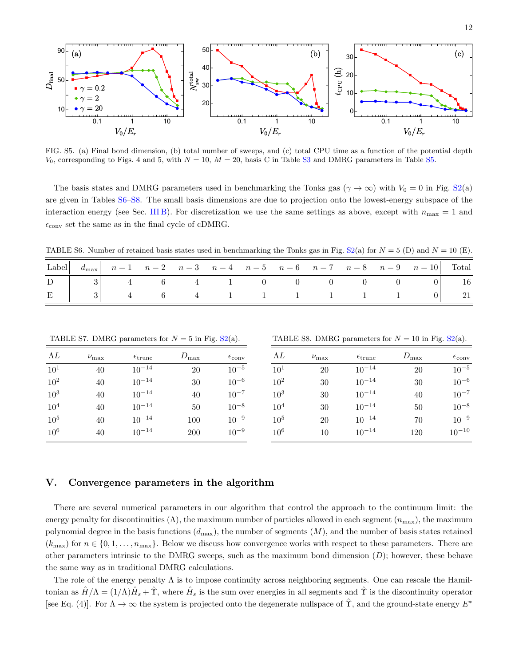

<span id="page-11-3"></span>FIG. S5. (a) Final bond dimension, (b) total number of sweeps, and (c) total CPU time as a function of the potential depth  $V_0$ , corresponding to Figs. 4 and 5, with  $N = 10$ ,  $M = 20$ , basis C in Table [S3](#page-10-0) and DMRG parameters in Table [S5.](#page-10-1)

The basis states and DMRG parameters used in benchmarking the Tonks gas ( $\gamma \to \infty$ ) with  $V_0 = 0$  in Fig. [S2\(](#page-8-2)a) are given in Tables [S6–](#page-11-1)[S8.](#page-11-2) The small basis dimensions are due to projection onto the lowest-energy subspace of the interaction energy (see Sec. [III B\)](#page-7-0). For discretization we use the same settings as above, except with  $n_{\text{max}} = 1$  and  $\epsilon_{\rm conv}$  set the same as in the final cycle of cDMRG.

<span id="page-11-1"></span>TABLE S6. Number of retained basis states used in benchmarking the Tonks gas in Fig. [S2\(](#page-8-2)a) for  $N = 5$  (D) and  $N = 10$  (E).

|  |  |  |  |  | Label $d_{\text{max}}$ $n=1$ $n=2$ $n=3$ $n=4$ $n=5$ $n=6$ $n=7$ $n=8$ $n=9$ $n=10$ Total |  |
|--|--|--|--|--|-------------------------------------------------------------------------------------------|--|
|  |  |  |  |  |                                                                                           |  |
|  |  |  |  |  |                                                                                           |  |

TABLE S7. DMRG parameters for  $N = 5$  in Fig.  $S2(a)$  $S2(a)$ .

| ΛL              | $\nu_{\text{max}}$ | $\epsilon_{\text{trunc}}$ | $D_{\max}$ | $\epsilon_{\rm conv}$ |
|-----------------|--------------------|---------------------------|------------|-----------------------|
| $10^{1}$        | 40                 | $10^{-14}$                | 20         | $10^{-5}$             |
| 10 <sup>2</sup> | 40                 | $10^{-14}$                | 30         | $10^{-6}$             |
| $10^{3}$        | 40                 | $10^{-14}$                | 40         | $10^{-7}$             |
| 10 <sup>4</sup> | 40                 | $10^{-14}$                | 50         | $10^{-8}$             |
| $10^{5}$        | 40                 | $10^{-14}$                | 100        | $10^{-9}$             |
| $10^{6}$        | 40                 | $10^{-14}$                | 200        | $10^{-9}$             |

<span id="page-11-2"></span>TABLE S8. DMRG parameters for  $N = 10$  in Fig.  $S2(a)$  $S2(a)$ .

| ΛL              | $\nu_{\text{max}}$ | $\epsilon_{\text{trunc}}$ | $D_{\max}$ | $\epsilon_{\rm conv}$ |
|-----------------|--------------------|---------------------------|------------|-----------------------|
| 10 <sup>1</sup> | 20                 | $10^{-14}$                | 20         | $10^{-5}$             |
| 10 <sup>2</sup> | 30                 | $10^{-14}$                | 30         | $10^{-6}$             |
| $10^{3}$        | 30                 | $10^{-14}$                | 40         | $10^{-7}$             |
| $10^{4}$        | 30                 | $10^{-14}$                | 50         | $10^{-8}$             |
| 10 <sup>5</sup> | 20                 | $10^{-14}$                | 70         | $10^{-9}$             |
| 10 <sup>6</sup> | 10                 | $10^{-14}$                | 120        | $10^{-10}$            |

### <span id="page-11-0"></span>V. Convergence parameters in the algorithm

There are several numerical parameters in our algorithm that control the approach to the continuum limit: the energy penalty for discontinuities ( $\Lambda$ ), the maximum number of particles allowed in each segment ( $n_{\text{max}}$ ), the maximum polynomial degree in the basis functions  $(d_{\text{max}})$ , the number of segments  $(M)$ , and the number of basis states retained  $(k_{\text{max}})$  for  $n \in \{0, 1, \ldots, n_{\text{max}}\}$ . Below we discuss how convergence works with respect to these parameters. There are other parameters intrinsic to the DMRG sweeps, such as the maximum bond dimension  $(D)$ ; however, these behave the same way as in traditional DMRG calculations.

The role of the energy penalty  $\Lambda$  is to impose continuity across neighboring segments. One can rescale the Hamiltonian as  $\hat{H}/\Lambda = (1/\Lambda)\hat{H}_s + \hat{\Upsilon}$ , where  $\hat{H}_s$  is the sum over energies in all segments and  $\hat{\Upsilon}$  is the discontinuity operator [see Eq. (4)]. For  $\Lambda \to \infty$  the system is projected onto the degenerate nullspace of  $\hat{\Upsilon}$ , and the ground-state energy  $E^*$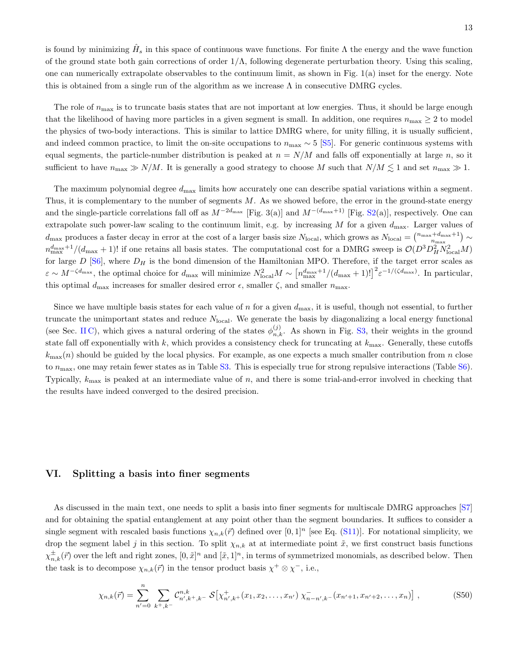is found by minimizing  $\hat{H}_s$  in this space of continuous wave functions. For finite  $\Lambda$  the energy and the wave function of the ground state both gain corrections of order  $1/\Lambda$ , following degenerate perturbation theory. Using this scaling, one can numerically extrapolate observables to the continuum limit, as shown in Fig. 1(a) inset for the energy. Note this is obtained from a single run of the algorithm as we increase  $\Lambda$  in consecutive DMRG cycles.

The role of  $n_{\text{max}}$  is to truncate basis states that are not important at low energies. Thus, it should be large enough that the likelihood of having more particles in a given segment is small. In addition, one requires  $n_{\text{max}} \geq 2$  to model the physics of two-body interactions. This is similar to lattice DMRG where, for unity filling, it is usually sufficient, and indeed common practice, to limit the on-site occupations to  $n_{\text{max}} \sim 5$  [\[S5\]](#page-16-3). For generic continuous systems with equal segments, the particle-number distribution is peaked at  $n = N/M$  and falls off exponentially at large n, so it sufficient to have  $n_{\text{max}} \gg N/M$ . It is generally a good strategy to choose M such that  $N/M \lesssim 1$  and set  $n_{\text{max}} \gg 1$ .

The maximum polynomial degree  $d_{\text{max}}$  limits how accurately one can describe spatial variations within a segment. Thus, it is complementary to the number of segments  $M$ . As we showed before, the error in the ground-state energy and the single-particle correlations fall off as  $M^{-2d_{\text{max}}}$  [Fig. 3(a)] and  $M^{-(d_{\text{max}}+1)}$  [Fig. [S2\(](#page-8-2)a)], respectively. One can extrapolate such power-law scaling to the continuum limit, e.g. by increasing  $M$  for a given  $d_{\text{max}}$ . Larger values of  $d_{\text{max}}$  produces a faster decay in error at the cost of a larger basis size  $N_{\text{local}}$ , which grows as  $N_{\text{local}} = \binom{n_{\text{max}} + d_{\text{max}} + 1}{n_{\text{max}}} \sim$  $m_{\text{max}}^{d_{\text{max}}+1}/(d_{\text{max}}+1)!$  if one retains all basis states. The computational cost for a DMRG sweep is  $\mathcal{O}(D^3D_H^2N_{\text{local}}^2M)$ for large  $D$  [\[S6\]](#page-16-4), where  $D_H$  is the bond dimension of the Hamiltonian MPO. Therefore, if the target error scales as  $\varepsilon \sim M^{-\zeta d_{\max}}$ , the optimal choice for  $d_{\max}$  will minimize  $N_{\text{local}}^2 M \sim \left[n_{\max}^{d_{\max}+1}/(d_{\max}+1)!\right]^2 \varepsilon^{-1/(\zeta d_{\max})}$ . In particular, this optimal  $d_{\text{max}}$  increases for smaller desired error  $\epsilon$ , smaller  $\zeta$ , and smaller  $n_{\text{max}}$ .

Since we have multiple basis states for each value of n for a given  $d_{\text{max}}$ , it is useful, though not essential, to further truncate the unimportant states and reduce  $N_{local}$ . We generate the basis by diagonalizing a local energy functional (see Sec. IIC), which gives a natural ordering of the states  $\phi_{n,k}^{(j)}$ . As shown in Fig. [S3,](#page-9-1) their weights in the ground state fall off exponentially with k, which provides a consistency check for truncating at  $k_{\text{max}}$ . Generally, these cutoffs  $k_{\text{max}}(n)$  should be guided by the local physics. For example, as one expects a much smaller contribution from n close to  $n_{\text{max}}$ , one may retain fewer states as in Table [S3.](#page-10-0) This is especially true for strong repulsive interactions (Table [S6\)](#page-11-1). Typically,  $k_{\text{max}}$  is peaked at an intermediate value of n, and there is some trial-and-error involved in checking that the results have indeed converged to the desired precision.

## <span id="page-12-0"></span>VI. Splitting a basis into finer segments

As discussed in the main text, one needs to split a basis into finer segments for multiscale DMRG approaches [\[S7\]](#page-16-5) and for obtaining the spatial entanglement at any point other than the segment boundaries. It suffices to consider a single segment with rescaled basis functions  $\chi_{n,k}(\vec{r})$  defined over  $[0,1]^n$  [see Eq. [\(S11\)](#page-2-2)]. For notational simplicity, we drop the segment label j in this section. To split  $\chi_{n,k}$  at at intermediate point  $\tilde{x}$ , we first construct basis functions  $\chi_{n,k}^{\pm}(\vec{r})$  over the left and right zones,  $[0,\tilde{x}]^n$  and  $[\tilde{x},1]^n$ , in terms of symmetrized monomials, as described below. Then the task is to decompose  $\chi_{n,k}(\vec{r})$  in the tensor product basis  $\chi^+ \otimes \chi^-,$  i.e.,

$$
\chi_{n,k}(\vec{r}) = \sum_{n'=0}^{n} \sum_{k^+,k^-} C_{n',k^+,k^-}^{n,k} \mathcal{S} \left[ \chi_{n',k^+}^+(x_1, x_2, \dots, x_{n'}) \ \chi_{n-n',k^-}^-(x_{n'+1}, x_{n'+2}, \dots, x_n) \right], \tag{S50}
$$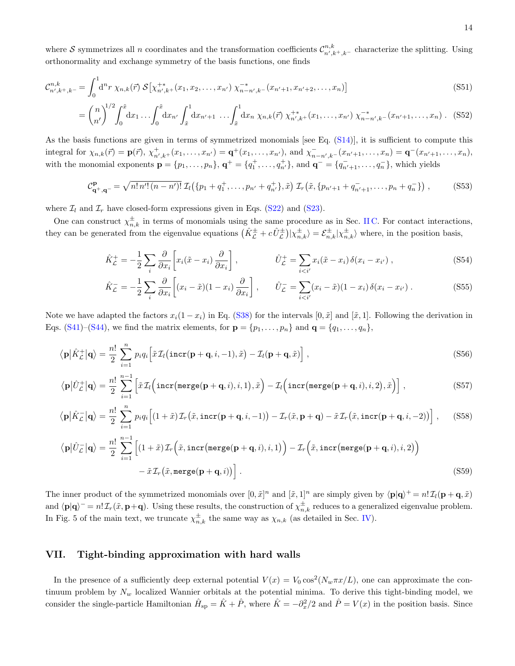where S symmetrizes all n coordinates and the transformation coefficients  $\mathcal{C}_{n',k^+_{k^-}}^{n,k}$  characterize the splitting. Using orthonormality and exchange symmetry of the basis functions, one finds

$$
\mathcal{C}_{n',k^+,k^-}^{n,k} = \int_0^1 \mathrm{d}^n r \, \chi_{n,k}(\vec{r}) \, \mathcal{S} \left[ \chi_{n',k^+}^{+}(x_1, x_2, \dots, x_{n'}) \, \chi_{n-n',k^-}^{-*}(x_{n'+1}, x_{n'+2}, \dots, x_n) \right] \tag{S51}
$$
\n
$$
\left( n \right)^{1/2} \int_{-\infty}^{\tilde{x}} \int_{-\infty}^{\tilde{x}} \int_{-\infty}^1 \mathrm{d}x \, \int_{-\infty}^1 \mathrm{d}x \, \chi_{n,k}(\vec{r}) \, \mathcal{S} \left[ \chi_{n',k^+}^{+}(x_1, x_2, \dots, x_{n'}) \, \chi_{n-n',k^-}^{-*}(x_{n'+1}, x_{n'+2}, \dots, x_n) \right] \tag{S51}
$$

$$
= \binom{n}{n'}^{1/2} \int_0^{\tilde{x}} dx_1 \ldots \int_0^{\tilde{x}} dx_{n'} \int_{\tilde{x}}^1 dx_{n'+1} \ldots \int_{\tilde{x}}^1 dx_n \ \chi_{n,k}(\vec{r}) \ \chi_{n',k}^{+*}(x_1,\ldots,x_{n'}) \ \chi_{n-n',k}^{-*}(x_{n'+1},\ldots,x_n) \ . \tag{S52}
$$

As the basis functions are given in terms of symmetrized monomials [see Eq. [\(S14\)](#page-2-3)], it is sufficient to compute this integral for  $\chi_{n,k}(\vec{r}) = \mathbf{p}(\vec{r}), \chi^+_{n',k+}(x_1,\ldots,x_{n'}) = \mathbf{q}^+(x_1,\ldots,x_{n'}),$  and  $\chi^-_{n-n',k-}(x_{n'+1},\ldots,x_n) = \mathbf{q}^-(x_{n'+1},\ldots,x_n),$ with the monomial exponents  $\mathbf{p} = \{p_1, \ldots, p_n\}$ ,  $\mathbf{q}^+ = \{q_1^+, \ldots, q_{n'}^+\}$ , and  $\mathbf{q}^- = \{q_{n'+1}^-, \ldots, q_n^-\}$ , which yields

$$
\mathcal{C}_{\mathbf{q}^+,\mathbf{q}^-}^{\mathbf{p}} = \sqrt{n! \, n'! \, (n - n')!} \, \mathcal{I}_l \big( \{ p_1 + q_1^+, \dots, p_{n'} + q_{n'}^+ \}, \tilde{x} \big) \, \mathcal{I}_r \big( \tilde{x}, \{ p_{n'+1} + q_{n'+1}^-, \dots, p_n + q_n^- \} \big) \;, \tag{S53}
$$

where  $\mathcal{I}_l$  and  $\mathcal{I}_r$  have closed-form expressions given in Eqs. [\(S22\)](#page-3-3) and [\(S23\)](#page-3-4).

One can construct  $\chi_{n,k}^{\pm}$  in terms of monomials using the same procedure as in Sec. [II C.](#page-5-0) For contact interactions, they can be generated from the eigenvalue equations  $(\hat{K}_{\mathcal{L}}^{\pm}+c\hat{U}_{\mathcal{L}}^{\pm})|\chi_{n,k}^{\pm}\rangle=\mathcal{E}_{n,k}^{\pm}|\chi_{n,k}^{\pm}\rangle$  where, in the position basis,

$$
\hat{K}_{\mathcal{L}}^+ = -\frac{1}{2} \sum_{i} \frac{\partial}{\partial x_i} \left[ x_i(\tilde{x} - x_i) \frac{\partial}{\partial x_i} \right], \qquad \hat{U}_{\mathcal{L}}^+ = \sum_{i < i'} x_i(\tilde{x} - x_i) \, \delta(x_i - x_{i'}) \,, \tag{S54}
$$

$$
\hat{K}_{\mathcal{L}}^{-} = -\frac{1}{2} \sum_{i} \frac{\partial}{\partial x_{i}} \left[ (x_{i} - \tilde{x})(1 - x_{i}) \frac{\partial}{\partial x_{i}} \right], \qquad \hat{U}_{\mathcal{L}}^{-} = \sum_{i < i'} (x_{i} - \tilde{x})(1 - x_{i}) \delta(x_{i} - x_{i'}). \tag{S55}
$$

Note we have adapted the factors  $x_i(1-x_i)$  in Eq. [\(S38\)](#page-6-2) for the intervals  $[0, \tilde{x}]$  and  $[\tilde{x}, 1]$ . Following the derivation in Eqs. [\(S41\)](#page-6-3)–[\(S44\)](#page-6-5), we find the matrix elements, for  $\mathbf{p} = \{p_1, \ldots, p_n\}$  and  $\mathbf{q} = \{q_1, \ldots, q_n\}$ ,

$$
\langle \mathbf{p} | \hat{K}_\mathcal{L}^+ | \mathbf{q} \rangle = \frac{n!}{2} \sum_{i=1}^n p_i q_i \Big[ \tilde{x} \mathcal{I}_l \big( \mathrm{incr}(\mathbf{p} + \mathbf{q}, i, -1), \tilde{x} \big) - \mathcal{I}_l(\mathbf{p} + \mathbf{q}, \tilde{x}) \Big] \,, \tag{S56}
$$

$$
\langle \mathbf{p} | \hat{U}_{\mathcal{L}}^+ | \mathbf{q} \rangle = \frac{n!}{2} \sum_{i=1}^{n-1} \left[ \tilde{x} \mathcal{I}_l \Big( \text{incr}(\text{merge}(\mathbf{p}+\mathbf{q}, i), i, 1), \tilde{x} \Big) - \mathcal{I}_l \Big( \text{incr}(\text{merge}(\mathbf{p}+\mathbf{q}, i), i, 2), \tilde{x} \Big) \right],\tag{S57}
$$

$$
\langle \mathbf{p} | \hat{K}_{\mathcal{L}}^- | \mathbf{q} \rangle = \frac{n!}{2} \sum_{i=1}^n p_i q_i \Big[ (1+\tilde{x}) \mathcal{I}_r(\tilde{x}, \mathbf{incr}(\mathbf{p}+\mathbf{q}, i, -1)) - \mathcal{I}_r(\tilde{x}, \mathbf{p}+\mathbf{q}) - \tilde{x} \mathcal{I}_r(\tilde{x}, \mathbf{incr}(\mathbf{p}+\mathbf{q}, i, -2)) \Big], \quad (S58)
$$

$$
\langle \mathbf{p} | \hat{U}_{\mathcal{L}}^- | \mathbf{q} \rangle = \frac{n!}{2} \sum_{i=1}^{n-1} \left[ (1+\tilde{x}) \mathcal{I}_r \Big( \tilde{x}, \text{incr}(\text{merge}(\mathbf{p}+\mathbf{q}, i), i, 1) \Big) - \mathcal{I}_r \Big( \tilde{x}, \text{incr}(\text{merge}(\mathbf{p}+\mathbf{q}, i), i, 2) \Big) - \tilde{x} \mathcal{I}_r \Big( \tilde{x}, \text{merge}(\mathbf{p}+\mathbf{q}, i) \Big) \right].
$$
\n(S59)

The inner product of the symmetrized monomials over  $[0, \tilde{x}]^n$  and  $[\tilde{x}, 1]^n$  are simply given by  $\langle \mathbf{p} | \mathbf{q} \rangle^+ = n! \mathcal{I}_l(\mathbf{p} + \mathbf{q}, \tilde{x})$ and  $\langle \mathbf{p} | \mathbf{q} \rangle = n! \mathcal{I}_r(\tilde{x}, \mathbf{p} + \mathbf{q})$ . Using these results, the construction of  $\chi_{n,k}^{\pm}$  reduces to a generalized eigenvalue problem. In Fig. 5 of the main text, we truncate  $\chi_{n,k}^{\pm}$  the same way as  $\chi_{n,k}$  (as detailed in Sec. [IV\)](#page-8-1).

## <span id="page-13-0"></span>VII. Tight-binding approximation with hard walls

In the presence of a sufficiently deep external potential  $V(x) = V_0 \cos^2(N_w \pi x/L)$ , one can approximate the continuum problem by  $N_w$  localized Wannier orbitals at the potential minima. To derive this tight-binding model, we consider the single-particle Hamiltonian  $\hat{H}_{sp} = \hat{K} + \hat{P}$ , where  $\hat{K} = -\partial_x^2/2$  and  $\hat{P} = V(x)$  in the position basis. Since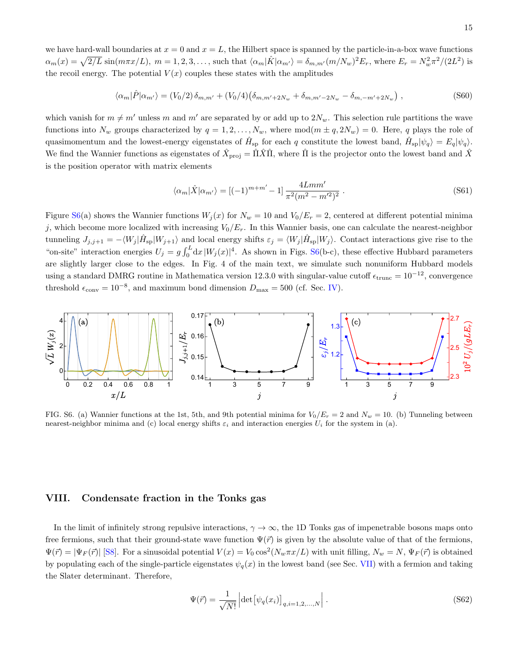we have hard-wall boundaries at  $x = 0$  and  $x = L$ , the Hilbert space is spanned by the particle-in-a-box wave functions  $\alpha_m(x) = \sqrt{2/L} \sin(m\pi x/L), m = 1, 2, 3, \dots$ , such that  $\langle \alpha_m | \hat{K} | \alpha_{m'} \rangle = \delta_{m,m'} (m/N_w)^2 E_r$ , where  $E_r = N_w^2 \pi^2/(2L^2)$  is the recoil energy. The potential  $V(x)$  couples these states with the amplitudes

$$
\langle \alpha_m | \hat{P} | \alpha_{m'} \rangle = (V_0/2) \, \delta_{m,m'} + (V_0/4) \big( \delta_{m,m'+2N_w} + \delta_{m,m'-2N_w} - \delta_{m,-m'+2N_w} \big) \;, \tag{S60}
$$

which vanish for  $m \neq m'$  unless m and m' are separated by or add up to  $2N_w$ . This selection rule partitions the wave functions into  $N_w$  groups characterized by  $q = 1, 2, ..., N_w$ , where  $mod(m \pm q, 2N_w) = 0$ . Here, q plays the role of quasimomentum and the lowest-energy eigenstates of  $\hat{H}_{sp}$  for each q constitute the lowest band,  $\hat{H}_{sp}|\psi_q\rangle = E_q|\psi_q\rangle$ . We find the Wannier functions as eigenstates of  $\hat{X}_{\text{proj}} = \hat{\Pi}\hat{X}\hat{\Pi}$ , where  $\hat{\Pi}$  is the projector onto the lowest band and  $\hat{X}$ is the position operator with matrix elements

$$
\langle \alpha_m | \hat{X} | \alpha_{m'} \rangle = [(-1)^{m+m'} - 1] \frac{4Lmm'}{\pi^2 (m^2 - m'^2)^2} . \tag{S61}
$$

Figure [S6\(](#page-14-1)a) shows the Wannier functions  $W_j(x)$  for  $N_w = 10$  and  $V_0/E_r = 2$ , centered at different potential minima j, which become more localized with increasing  $V_0/E_r$ . In this Wannier basis, one can calculate the nearest-neighbor tunneling  $J_{j,j+1} = -\langle W_j | \hat{H}_{\rm sp} | W_{j+1} \rangle$  and local energy shifts  $\varepsilon_j = \langle W_j | \hat{H}_{\rm sp} | W_j \rangle$ . Contact interactions give rise to the "on-site" interaction energies  $U_j = g \int_0^L dx |W_j(x)|^4$ . As shown in Figs. [S6\(](#page-14-1)b-c), these effective Hubbard parameters are slightly larger close to the edges. In Fig. 4 of the main text, we simulate such nonuniform Hubbard models using a standard DMRG routine in Mathematica version 12.3.0 with singular-value cutoff  $\epsilon_{\text{trunc}} = 10^{-12}$ , convergence threshold  $\epsilon_{\text{conv}} = 10^{-8}$ , and maximum bond dimension  $D_{\text{max}} = 500$  (cf. Sec. [IV\)](#page-8-1).



<span id="page-14-1"></span><span id="page-14-0"></span>FIG. S6. (a) Wannier functions at the 1st, 5th, and 9th potential minima for  $V_0/E_r = 2$  and  $N_w = 10$ . (b) Tunneling between nearest-neighbor minima and (c) local energy shifts  $\varepsilon_i$  and interaction energies  $U_i$  for the system in (a).

### VIII. Condensate fraction in the Tonks gas

In the limit of infinitely strong repulsive interactions,  $\gamma \to \infty$ , the 1D Tonks gas of impenetrable bosons maps onto free fermions, such that their ground-state wave function  $\Psi(\vec{r})$  is given by the absolute value of that of the fermions,  $\Psi(\vec{r}) = |\Psi_F(\vec{r})|$  [\[S8\]](#page-16-6). For a sinusoidal potential  $V(x) = V_0 \cos^2(N_w \pi x/L)$  with unit filling,  $N_w = N$ ,  $\Psi_F(\vec{r})$  is obtained by populating each of the single-particle eigenstates  $\psi_q(x)$  in the lowest band (see Sec. [VII\)](#page-13-0) with a fermion and taking the Slater determinant. Therefore,

$$
\Psi(\vec{r}) = \frac{1}{\sqrt{N!}} \left| \det \left[ \psi_q(x_i) \right]_{q,i=1,2,\dots,N} \right|.
$$
\n(S62)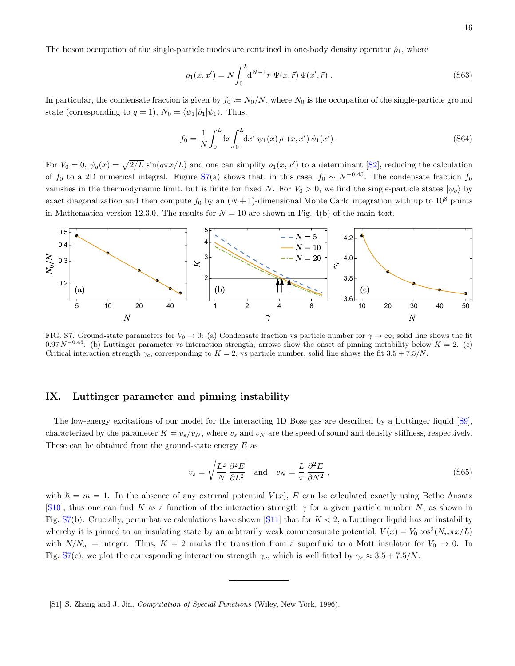The boson occupation of the single-particle modes are contained in one-body density operator  $\hat{\rho}_1$ , where

$$
\rho_1(x, x') = N \int_0^L \mathrm{d}^{N-1} r \, \Psi(x, \vec{r}) \Psi(x', \vec{r}) \,. \tag{S63}
$$

In particular, the condensate fraction is given by  $f_0 := N_0/N$ , where  $N_0$  is the occupation of the single-particle ground state (corresponding to  $q = 1$ ),  $N_0 = \langle \psi_1 | \hat{\rho}_1 | \psi_1 \rangle$ . Thus,

$$
f_0 = \frac{1}{N} \int_0^L dx \int_0^L dx' \psi_1(x) \rho_1(x, x') \psi_1(x') .
$$
 (S64)

For  $V_0 = 0$ ,  $\psi_q(x) = \sqrt{2/L} \sin(q\pi x/L)$  and one can simplify  $\rho_1(x, x')$  to a determinant [\[S2\]](#page-16-0), reducing the calculation of  $f_0$  to a 2D numerical integral. Figure [S7\(](#page-15-2)a) shows that, in this case,  $f_0 \sim N^{-0.45}$ . The condensate fraction  $f_0$ vanishes in the thermodynamic limit, but is finite for fixed N. For  $V_0 > 0$ , we find the single-particle states  $|\psi_q\rangle$  by exact diagonalization and then compute  $f_0$  by an  $(N + 1)$ -dimensional Monte Carlo integration with up to 10<sup>8</sup> points in Mathematica version 12.3.0. The results for  $N = 10$  are shown in Fig. 4(b) of the main text.



<span id="page-15-2"></span>FIG. S7. Ground-state parameters for  $V_0 \to 0$ : (a) Condensate fraction vs particle number for  $\gamma \to \infty$ ; solid line shows the fit  $0.97 N^{-0.45}$ . (b) Luttinger parameter vs interaction strength; arrows show the onset of pinning instability below  $K = 2$ . (c) Critical interaction strength  $\gamma_c$ , corresponding to  $K = 2$ , vs particle number; solid line shows the fit 3.5 + 7.5/N.

## <span id="page-15-0"></span>IX. Luttinger parameter and pinning instability

The low-energy excitations of our model for the interacting 1D Bose gas are described by a Luttinger liquid [\[S9\]](#page-16-7), characterized by the parameter  $K = v_s/v_N$ , where  $v_s$  and  $v_N$  are the speed of sound and density stiffness, respectively. These can be obtained from the ground-state energy  $E$  as

$$
v_s = \sqrt{\frac{L^2}{N} \frac{\partial^2 E}{\partial L^2}} \quad \text{and} \quad v_N = \frac{L}{\pi} \frac{\partial^2 E}{\partial N^2} \,, \tag{S65}
$$

with  $\hbar = m = 1$ . In the absence of any external potential  $V(x)$ , E can be calculated exactly using Bethe Ansatz [\[S10\]](#page-16-8), thus one can find K as a function of the interaction strength  $\gamma$  for a given particle number N, as shown in Fig.  $S7(b)$  $S7(b)$ . Crucially, perturbative calculations have shown [\[S11\]](#page-16-9) that for  $K < 2$ , a Luttinger liquid has an instability whereby it is pinned to an insulating state by an arbtrarily weak commensurate potential,  $V(x) = V_0 \cos^2(N_w \pi x/L)$ with  $N/N_w$  = integer. Thus,  $K = 2$  marks the transition from a superfluid to a Mott insulator for  $V_0 \rightarrow 0$ . In Fig. [S7\(](#page-15-2)c), we plot the corresponding interaction strength  $\gamma_c$ , which is well fitted by  $\gamma_c \approx 3.5 + 7.5/N$ .

<span id="page-15-1"></span><sup>[</sup>S1] S. Zhang and J. Jin, Computation of Special Functions (Wiley, New York, 1996).